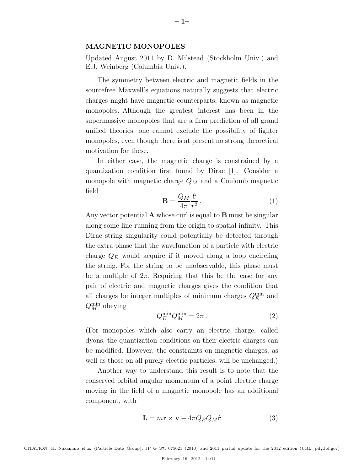#### MAGNETIC MONOPOLES

Updated August 2011 by D. Milstead (Stockholm Univ.) and E.J. Weinberg (Columbia Univ.).

The symmetry between electric and magnetic fields in the sourcefree Maxwell's equations naturally suggests that electric charges might have magnetic counterparts, known as magnetic monopoles. Although the greatest interest has been in the supermassive monopoles that are a firm prediction of all grand unified theories, one cannot exclude the possibility of lighter monopoles, even though there is at present no strong theoretical motivation for these.

In either case, the magnetic charge is constrained by a quantization condition first found by Dirac [1]. Consider a monopole with magnetic charge  $Q_M$  and a Coulomb magnetic field

$$
\mathbf{B} = \frac{Q_M}{4\pi} \frac{\hat{\mathbf{r}}}{r^2}.
$$
 (1)

Any vector potential  $\bf{A}$  whose curl is equal to  $\bf{B}$  must be singular along some line running from the origin to spatial infinity. This Dirac string singularity could potentially be detected through the extra phase that the wavefunction of a particle with electric charge  $Q_E$  would acquire if it moved along a loop encircling the string. For the string to be unobservable, this phase must be a multiple of  $2\pi$ . Requiring that this be the case for any pair of electric and magnetic charges gives the condition that all charges be integer multiples of minimum charges  $Q_E^{\min}$  and  $Q_M^{\text{min}}$  obeying

$$
Q_E^{\min} Q_M^{\min} = 2\pi \,. \tag{2}
$$

(For monopoles which also carry an electric charge, called dyons, the quantization conditions on their electric charges can be modified. However, the constraints on magnetic charges, as well as those on all purely electric particles, will be unchanged.)

Another way to understand this result is to note that the conserved orbital angular momentum of a point electric charge moving in the field of a magnetic monopole has an additional component, with

$$
\mathbf{L} = m\mathbf{r} \times \mathbf{v} - 4\pi Q_E Q_M \hat{\mathbf{r}} \tag{3}
$$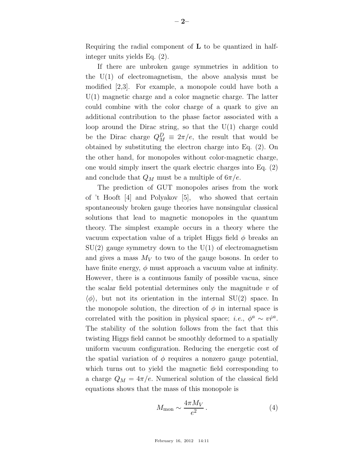Requiring the radial component of L to be quantized in halfinteger units yields Eq. (2).

If there are unbroken gauge symmetries in addition to the  $U(1)$  of electromagnetism, the above analysis must be modified [2,3]. For example, a monopole could have both a  $U(1)$  magnetic charge and a color magnetic charge. The latter could combine with the color charge of a quark to give an additional contribution to the phase factor associated with a loop around the Dirac string, so that the  $U(1)$  charge could be the Dirac charge  $Q_M^D \equiv 2\pi/e$ , the result that would be obtained by substituting the electron charge into Eq. (2). On the other hand, for monopoles without color-magnetic charge, one would simply insert the quark electric charges into Eq. (2) and conclude that  $Q_M$  must be a multiple of  $6\pi/e$ .

The prediction of GUT monopoles arises from the work of 't Hooft [4] and Polyakov [5], who showed that certain spontaneously broken gauge theories have nonsingular classical solutions that lead to magnetic monopoles in the quantum theory. The simplest example occurs in a theory where the vacuum expectation value of a triplet Higgs field  $\phi$  breaks an  $SU(2)$  gauge symmetry down to the  $U(1)$  of electromagnetism and gives a mass  $M_V$  to two of the gauge bosons. In order to have finite energy,  $\phi$  must approach a vacuum value at infinity. However, there is a continuous family of possible vacua, since the scalar field potential determines only the magnitude  $v$  of  $\langle \phi \rangle$ , but not its orientation in the internal SU(2) space. In the monopole solution, the direction of  $\phi$  in internal space is correlated with the position in physical space; *i.e.*,  $\phi^a \sim v\hat{r}^a$ . The stability of the solution follows from the fact that this twisting Higgs field cannot be smoothly deformed to a spatially uniform vacuum configuration. Reducing the energetic cost of the spatial variation of  $\phi$  requires a nonzero gauge potential, which turns out to yield the magnetic field corresponding to a charge  $Q_M = 4\pi/e$ . Numerical solution of the classical field equations shows that the mass of this monopole is

$$
M_{\rm mon} \sim \frac{4\pi M_V}{e^2} \,. \tag{4}
$$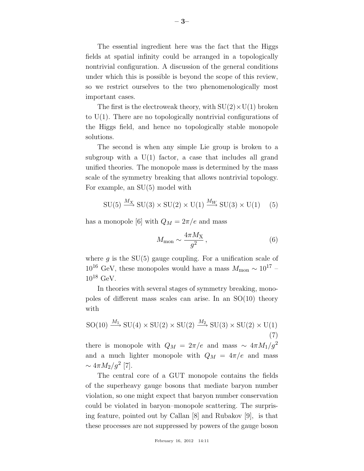The essential ingredient here was the fact that the Higgs fields at spatial infinity could be arranged in a topologically nontrivial configuration. A discussion of the general conditions under which this is possible is beyond the scope of this review, so we restrict ourselves to the two phenomenologically most important cases.

The first is the electroweak theory, with  $SU(2) \times U(1)$  broken to U(1). There are no topologically nontrivial configurations of the Higgs field, and hence no topologically stable monopole solutions.

The second is when any simple Lie group is broken to a subgroup with a  $U(1)$  factor, a case that includes all grand unified theories. The monopole mass is determined by the mass scale of the symmetry breaking that allows nontrivial topology. For example, an SU(5) model with

$$
SU(5) \xrightarrow{M_X} SU(3) \times SU(2) \times U(1) \xrightarrow{M_W} SU(3) \times U(1) \quad (5)
$$

has a monopole [6] with  $Q_M = 2\pi/e$  and mass

$$
M_{\rm mon} \sim \frac{4\pi M_{\rm X}}{g^2},\tag{6}
$$

where q is the  $SU(5)$  gauge coupling. For a unification scale of  $10^{16}$  GeV, these monopoles would have a mass  $M_{\text{mon}} \sim 10^{17}$  –  $10^{18}$  GeV.

In theories with several stages of symmetry breaking, monopoles of different mass scales can arise. In an SO(10) theory with

$$
SO(10) \xrightarrow{M_1} SU(4) \times SU(2) \times SU(2) \xrightarrow{M_2} SU(3) \times SU(2) \times U(1)
$$
\n(7)

there is monopole with  $Q_M = 2\pi/e$  and mass ~  $4\pi M_1/g^2$ and a much lighter monopole with  $Q_M = 4\pi/e$  and mass  $\sim 4\pi M_2/g^2$  [7].

The central core of a GUT monopole contains the fields of the superheavy gauge bosons that mediate baryon number violation, so one might expect that baryon number conservation could be violated in baryon–monopole scattering. The surprising feature, pointed out by Callan [8] and Rubakov [9], is that these processes are not suppressed by powers of the gauge boson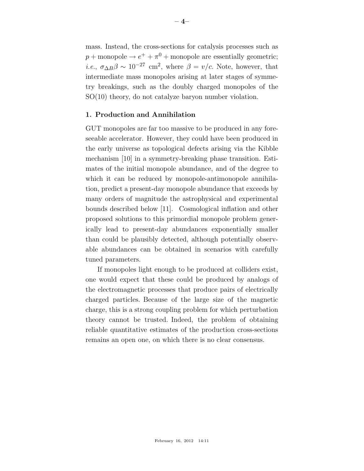mass. Instead, the cross-sections for catalysis processes such as  $p + \text{monopole} \rightarrow e^+ + \pi^0 + \text{monopole}$  are essentially geometric; *i.e.*,  $\sigma_{\Delta B}\beta \sim 10^{-27}$  cm<sup>2</sup>, where  $\beta = v/c$ . Note, however, that intermediate mass monopoles arising at later stages of symmetry breakings, such as the doubly charged monopoles of the SO(10) theory, do not catalyze baryon number violation.

## 1. Production and Annihilation

GUT monopoles are far too massive to be produced in any foreseeable accelerator. However, they could have been produced in the early universe as topological defects arising via the Kibble mechanism [10] in a symmetry-breaking phase transition. Estimates of the initial monopole abundance, and of the degree to which it can be reduced by monopole-antimonopole annihilation, predict a present-day monopole abundance that exceeds by many orders of magnitude the astrophysical and experimental bounds described below [11]. Cosmological inflation and other proposed solutions to this primordial monopole problem generically lead to present-day abundances exponentially smaller than could be plausibly detected, although potentially observable abundances can be obtained in scenarios with carefully tuned parameters.

If monopoles light enough to be produced at colliders exist, one would expect that these could be produced by analogs of the electromagnetic processes that produce pairs of electrically charged particles. Because of the large size of the magnetic charge, this is a strong coupling problem for which perturbation theory cannot be trusted. Indeed, the problem of obtaining reliable quantitative estimates of the production cross-sections remains an open one, on which there is no clear consensus.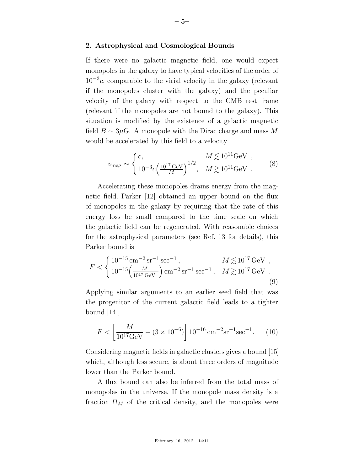### 2. Astrophysical and Cosmological Bounds

If there were no galactic magnetic field, one would expect monopoles in the galaxy to have typical velocities of the order of  $10^{-3}c$ , comparable to the virial velocity in the galaxy (relevant if the monopoles cluster with the galaxy) and the peculiar velocity of the galaxy with respect to the CMB rest frame (relevant if the monopoles are not bound to the galaxy). This situation is modified by the existence of a galactic magnetic field  $B \sim 3\mu$ G. A monopole with the Dirac charge and mass M would be accelerated by this field to a velocity

$$
v_{\rm mag} \sim \begin{cases} c, & M \lesssim 10^{11} \text{GeV} ,\\ 10^{-3} c \left( \frac{10^{17} \text{GeV}}{M} \right)^{1/2}, & M \gtrsim 10^{11} \text{GeV} . \end{cases} (8)
$$

Accelerating these monopoles drains energy from the magnetic field. Parker [12] obtained an upper bound on the flux of monopoles in the galaxy by requiring that the rate of this energy loss be small compared to the time scale on which the galactic field can be regenerated. With reasonable choices for the astrophysical parameters (see Ref. 13 for details), this Parker bound is

$$
F < \begin{cases} 10^{-15} \,\mathrm{cm}^{-2} \,\mathrm{sr}^{-1} \,\mathrm{sec}^{-1} \,, & M \lesssim 10^{17} \,\mathrm{GeV} \,, \\ 10^{-15} \left( \frac{M}{10^{17} \,\mathrm{GeV}} \right) \mathrm{cm}^{-2} \,\mathrm{sr}^{-1} \,\mathrm{sec}^{-1} \,, & M \gtrsim 10^{17} \,\mathrm{GeV} \,. \end{cases} \tag{9}
$$

Applying similar arguments to an earlier seed field that was the progenitor of the current galactic field leads to a tighter bound  $|14|$ ,

$$
F < \left[\frac{M}{10^{17} \text{GeV}} + (3 \times 10^{-6})\right] 10^{-16} \text{ cm}^{-2} \text{sr}^{-1} \text{sec}^{-1}.
$$
 (10)

Considering magnetic fields in galactic clusters gives a bound [15] which, although less secure, is about three orders of magnitude lower than the Parker bound.

A flux bound can also be inferred from the total mass of monopoles in the universe. If the monopole mass density is a fraction  $\Omega_M$  of the critical density, and the monopoles were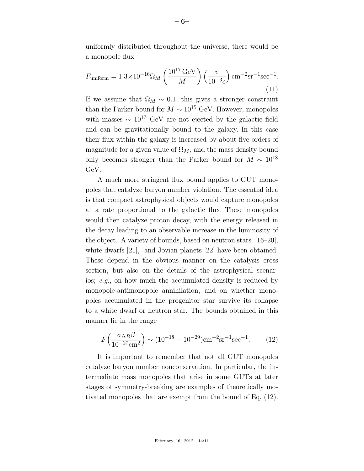uniformly distributed throughout the universe, there would be a monopole flux

$$
F_{\text{uniform}} = 1.3 \times 10^{-16} \Omega_M \left( \frac{10^{17} \,\text{GeV}}{M} \right) \left( \frac{v}{10^{-3} c} \right) \text{cm}^{-2} \text{sr}^{-1} \text{sec}^{-1}.
$$
\n(11)

If we assume that  $\Omega_M \sim 0.1$ , this gives a stronger constraint than the Parker bound for  $M \sim 10^{15}$  GeV. However, monopoles with masses  $\sim 10^{17}$  GeV are not ejected by the galactic field and can be gravitationally bound to the galaxy. In this case their flux within the galaxy is increased by about five orders of magnitude for a given value of  $\Omega_M$ , and the mass density bound only becomes stronger than the Parker bound for  $M \sim 10^{18}$ GeV.

A much more stringent flux bound applies to GUT monopoles that catalyze baryon number violation. The essential idea is that compact astrophysical objects would capture monopoles at a rate proportional to the galactic flux. These monopoles would then catalyze proton decay, with the energy released in the decay leading to an observable increase in the luminosity of the object. A variety of bounds, based on neutron stars [16–20], white dwarfs [21], and Jovian planets [22] have been obtained. These depend in the obvious manner on the catalysis cross section, but also on the details of the astrophysical scenarios; e.g., on how much the accumulated density is reduced by monopole-antimonopole annihilation, and on whether monopoles accumulated in the progenitor star survive its collapse to a white dwarf or neutron star. The bounds obtained in this manner lie in the range

$$
F\left(\frac{\sigma_{\Delta B}\beta}{10^{-27}\text{cm}^2}\right) \sim (10^{-18} - 10^{-29})\text{cm}^{-2}\text{sr}^{-1}\text{sec}^{-1}.
$$
 (12)

It is important to remember that not all GUT monopoles catalyze baryon number nonconservation. In particular, the intermediate mass monopoles that arise in some GUTs at later stages of symmetry-breaking are examples of theoretically motivated monopoles that are exempt from the bound of Eq. (12).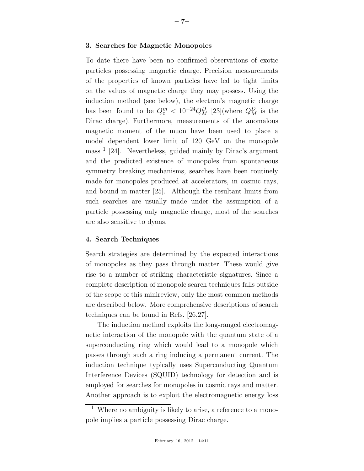# 3. Searches for Magnetic Monopoles

To date there have been no confirmed observations of exotic particles possessing magnetic charge. Precision measurements of the properties of known particles have led to tight limits on the values of magnetic charge they may possess. Using the induction method (see below), the electron's magnetic charge has been found to be  $Q_e^m < 10^{-24} Q_M^D$  [23](where  $Q_M^D$  is the Dirac charge). Furthermore, measurements of the anomalous magnetic moment of the muon have been used to place a model dependent lower limit of 120 GeV on the monopole mass <sup>1</sup> [24]. Nevertheless, guided mainly by Dirac's argument and the predicted existence of monopoles from spontaneous symmetry breaking mechanisms, searches have been routinely made for monopoles produced at accelerators, in cosmic rays, and bound in matter [25]. Although the resultant limits from such searches are usually made under the assumption of a particle possessing only magnetic charge, most of the searches are also sensitive to dyons.

### 4. Search Techniques

Search strategies are determined by the expected interactions of monopoles as they pass through matter. These would give rise to a number of striking characteristic signatures. Since a complete description of monopole search techniques falls outside of the scope of this minireview, only the most common methods are described below. More comprehensive descriptions of search techniques can be found in Refs. [26,27].

The induction method exploits the long-ranged electromagnetic interaction of the monopole with the quantum state of a superconducting ring which would lead to a monopole which passes through such a ring inducing a permanent current. The induction technique typically uses Superconducting Quantum Interference Devices (SQUID) technology for detection and is employed for searches for monopoles in cosmic rays and matter. Another approach is to exploit the electromagnetic energy loss

<sup>1</sup> Where no ambiguity is likely to arise, a reference to a monopole implies a particle possessing Dirac charge.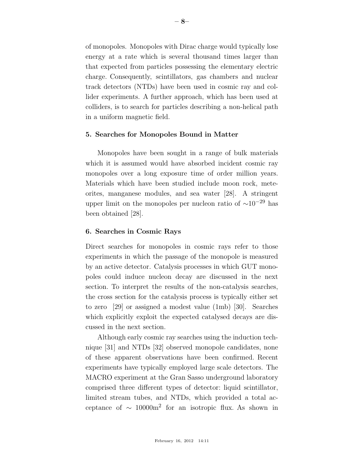of monopoles. Monopoles with Dirac charge would typically lose energy at a rate which is several thousand times larger than that expected from particles possessing the elementary electric charge. Consequently, scintillators, gas chambers and nuclear track detectors (NTDs) have been used in cosmic ray and collider experiments. A further approach, which has been used at colliders, is to search for particles describing a non-helical path in a uniform magnetic field.

## 5. Searches for Monopoles Bound in Matter

Monopoles have been sought in a range of bulk materials which it is assumed would have absorbed incident cosmic ray monopoles over a long exposure time of order million years. Materials which have been studied include moon rock, meteorites, manganese modules, and sea water [28]. A stringent upper limit on the monopoles per nucleon ratio of  $\sim 10^{-29}$  has been obtained [28].

## 6. Searches in Cosmic Rays

Direct searches for monopoles in cosmic rays refer to those experiments in which the passage of the monopole is measured by an active detector. Catalysis processes in which GUT monopoles could induce nucleon decay are discussed in the next section. To interpret the results of the non-catalysis searches, the cross section for the catalysis process is typically either set to zero [29] or assigned a modest value (1mb) [30]. Searches which explicitly exploit the expected catalysed decays are discussed in the next section.

Although early cosmic ray searches using the induction technique [31] and NTDs [32] observed monopole candidates, none of these apparent observations have been confirmed. Recent experiments have typically employed large scale detectors. The MACRO experiment at the Gran Sasso underground laboratory comprised three different types of detector: liquid scintillator, limited stream tubes, and NTDs, which provided a total acceptance of  $\sim 10000$ m<sup>2</sup> for an isotropic flux. As shown in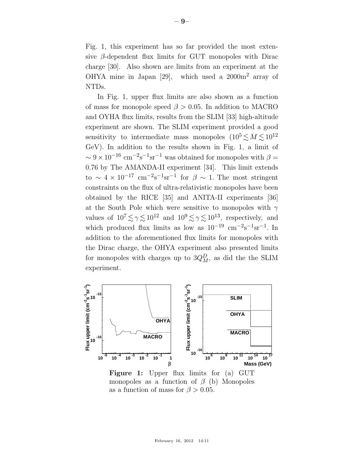Fig. 1, this experiment has so far provided the most extensive  $\beta$ -dependent flux limits for GUT monopoles with Dirac charge [30]. Also shown are limits from an experiment at the OHYA mine in Japan [29], which used a 2000m<sup>2</sup> array of NTDs.

In Fig. 1, upper flux limits are also shown as a function of mass for monopole speed  $\beta > 0.05$ . In addition to MACRO and OYHA flux limits, results from the SLIM [33] high-altitude experiment are shown. The SLIM experiment provided a good sensitivity to intermediate mass monopoles  $(10^5 \lesssim M \lesssim 10^{12}$ GeV). In addition to the results shown in Fig. 1, a limit of  $\sim 9 \times 10^{-16}$  cm<sup>-2</sup>s<sup>-1</sup>sr<sup>-1</sup> was obtained for monopoles with  $\beta =$ 0.76 by The AMANDA-II experiment [34]. This limit extends to  $\sim 4 \times 10^{-17}$  cm<sup>-2</sup>s<sup>-1</sup>sr<sup>-1</sup> for  $\beta \sim 1$ . The most stringent constraints on the flux of ultra-relativistic monopoles have been obtained by the RICE [35] and ANITA-II experiments [36] at the South Pole which were sensitive to monopoles with  $\gamma$ values of  $10^7 \lesssim \gamma \lesssim 10^{12}$  and  $10^9 \lesssim \gamma \lesssim 10^{13}$ , respectively, and which produced flux limits as low as  $10^{-19}$  cm<sup>-2</sup>s<sup>-1</sup>sr<sup>-1</sup>. In addition to the aforementioned flux limits for monopoles with the Dirac charge, the OHYA experiment also presented limits for monopoles with charges up to  $3Q_M^D$ , as did the the SLIM experiment.



Figure 1: Upper flux limits for (a) GUT monopoles as a function of  $\beta$  (b) Monopoles as a function of mass for  $\beta > 0.05$ .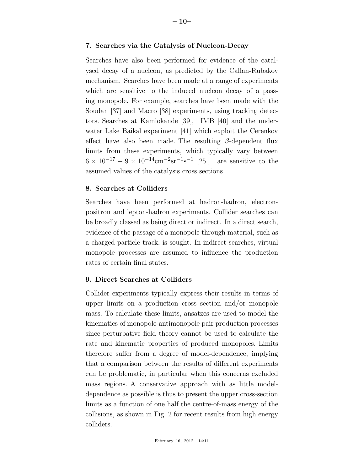### 7. Searches via the Catalysis of Nucleon-Decay

Searches have also been performed for evidence of the catalysed decay of a nucleon, as predicted by the Callan-Rubakov mechanism. Searches have been made at a range of experiments which are sensitive to the induced nucleon decay of a passing monopole. For example, searches have been made with the Soudan [37] and Macro [38] experiments, using tracking detectors. Searches at Kamiokande [39], IMB [40] and the underwater Lake Baikal experiment [41] which exploit the Cerenkov effect have also been made. The resulting  $\beta$ -dependent flux limits from these experiments, which typically vary between  $6 \times 10^{-17} - 9 \times 10^{-14}$  cm<sup>-2</sup>sr<sup>-1</sup>s<sup>-1</sup> [25], are sensitive to the assumed values of the catalysis cross sections.

## 8. Searches at Colliders

Searches have been performed at hadron-hadron, electronpositron and lepton-hadron experiments. Collider searches can be broadly classed as being direct or indirect. In a direct search, evidence of the passage of a monopole through material, such as a charged particle track, is sought. In indirect searches, virtual monopole processes are assumed to influence the production rates of certain final states.

# 9. Direct Searches at Colliders

Collider experiments typically express their results in terms of upper limits on a production cross section and/or monopole mass. To calculate these limits, ansatzes are used to model the kinematics of monopole-antimonopole pair production processes since perturbative field theory cannot be used to calculate the rate and kinematic properties of produced monopoles. Limits therefore suffer from a degree of model-dependence, implying that a comparison between the results of different experiments can be problematic, in particular when this concerns excluded mass regions. A conservative approach with as little modeldependence as possible is thus to present the upper cross-section limits as a function of one half the centre-of-mass energy of the collisions, as shown in Fig. 2 for recent results from high energy colliders.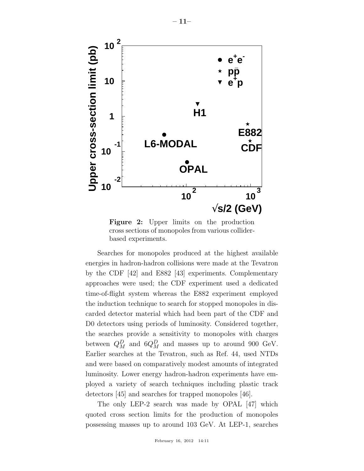

Figure 2: Upper limits on the production cross sections of monopoles from various colliderbased experiments.

Searches for monopoles produced at the highest available energies in hadron-hadron collisions were made at the Tevatron by the CDF [42] and E882 [43] experiments. Complementary approaches were used; the CDF experiment used a dedicated time-of-flight system whereas the E882 experiment employed the induction technique to search for stopped monopoles in discarded detector material which had been part of the CDF and D0 detectors using periods of luminosity. Considered together, the searches provide a sensitivity to monopoles with charges between  $Q_M^D$  and  $6Q_M^D$  and masses up to around 900 GeV. Earlier searches at the Tevatron, such as Ref. 44, used NTDs and were based on comparatively modest amounts of integrated luminosity. Lower energy hadron-hadron experiments have employed a variety of search techniques including plastic track detectors [45] and searches for trapped monopoles [46].

The only LEP-2 search was made by OPAL [47] which quoted cross section limits for the production of monopoles possessing masses up to around 103 GeV. At LEP-1, searches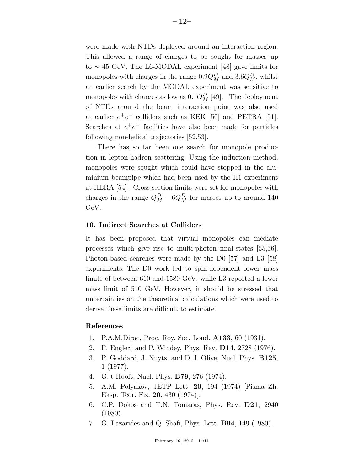were made with NTDs deployed around an interaction region. This allowed a range of charges to be sought for masses up to ∼ 45 GeV. The L6-MODAL experiment [48] gave limits for monopoles with charges in the range  $0.9Q_M^D$  and  $3.6Q_M^D$ , whilst an earlier search by the MODAL experiment was sensitive to monopoles with charges as low as  $0.1Q_M^D$  [49]. The deployment of NTDs around the beam interaction point was also used at earlier  $e^+e^-$  colliders such as KEK [50] and PETRA [51]. Searches at  $e^+e^-$  facilities have also been made for particles following non-helical trajectories [52,53].

There has so far been one search for monopole production in lepton-hadron scattering. Using the induction method, monopoles were sought which could have stopped in the aluminium beampipe which had been used by the H1 experiment at HERA [54]. Cross section limits were set for monopoles with charges in the range  $Q_M^D - 6Q_M^D$  for masses up to around 140 GeV.

# 10. Indirect Searches at Colliders

It has been proposed that virtual monopoles can mediate processes which give rise to multi-photon final-states [55,56]. Photon-based searches were made by the D0 [57] and L3 [58] experiments. The D0 work led to spin-dependent lower mass limits of between 610 and 1580 GeV, while L3 reported a lower mass limit of 510 GeV. However, it should be stressed that uncertainties on the theoretical calculations which were used to derive these limits are difficult to estimate.

### References

- 1. P.A.M.Dirac, Proc. Roy. Soc. Lond. A133, 60 (1931).
- 2. F. Englert and P. Windey, Phys. Rev. D14, 2728 (1976).
- 3. P. Goddard, J. Nuyts, and D. I. Olive, Nucl. Phys. B125, 1 (1977).
- 4. G.'t Hooft, Nucl. Phys. B79, 276 (1974).
- 5. A.M. Polyakov, JETP Lett. 20, 194 (1974) [Pisma Zh. Eksp. Teor. Fiz. 20, 430 (1974)].
- 6. C.P. Dokos and T.N. Tomaras, Phys. Rev. D21, 2940 (1980).
- 7. G. Lazarides and Q. Shafi, Phys. Lett. B94, 149 (1980).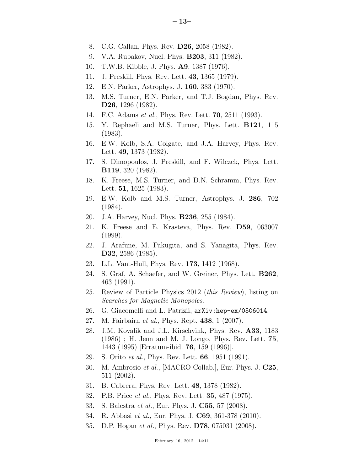- 8. C.G. Callan, Phys. Rev. D26, 2058 (1982).
- 9. V.A. Rubakov, Nucl. Phys. B203, 311 (1982).
- 10. T.W.B. Kibble, J. Phys. A9, 1387 (1976).
- 11. J. Preskill, Phys. Rev. Lett. 43, 1365 (1979).
- 12. E.N. Parker, Astrophys. J. 160, 383 (1970).
- 13. M.S. Turner, E.N. Parker, and T.J. Bogdan, Phys. Rev. D26, 1296 (1982).
- 14. F.C. Adams et al., Phys. Rev. Lett. 70, 2511 (1993).
- 15. Y. Rephaeli and M.S. Turner, Phys. Lett. B121, 115 (1983).
- 16. E.W. Kolb, S.A. Colgate, and J.A. Harvey, Phys. Rev. Lett. 49, 1373 (1982).
- 17. S. Dimopoulos, J. Preskill, and F. Wilczek, Phys. Lett. B119, 320 (1982).
- 18. K. Freese, M.S. Turner, and D.N. Schramm, Phys. Rev. Lett. 51, 1625 (1983).
- 19. E.W. Kolb and M.S. Turner, Astrophys. J. 286, 702 (1984).
- 20. J.A. Harvey, Nucl. Phys. B236, 255 (1984).
- 21. K. Freese and E. Krasteva, Phys. Rev. D59, 063007 (1999).
- 22. J. Arafune, M. Fukugita, and S. Yanagita, Phys. Rev. D32, 2586 (1985).
- 23. L.L. Vant-Hull, Phys. Rev. 173, 1412 (1968).
- 24. S. Graf, A. Schaefer, and W. Greiner, Phys. Lett. B262, 463 (1991).
- 25. Review of Particle Physics 2012 (this Review), listing on Searches for Magnetic Monopoles.
- 26. G. Giacomelli and L. Patrizii, arXiv:hep-ex/0506014.
- 27. M. Fairbairn *et al.*, Phys. Rept. **438**, 1 (2007).
- 28. J.M. Kovalik and J.L. Kirschvink, Phys. Rev. A33, 1183 (1986) ; H. Jeon and M. J. Longo, Phys. Rev. Lett. 75, 1443 (1995) [Erratum-ibid. 76, 159 (1996)].
- 29. S. Orito et al., Phys. Rev. Lett. 66, 1951 (1991).
- 30. M. Ambrosio et al., [MACRO Collab.], Eur. Phys. J. C25, 511 (2002).
- 31. B. Cabrera, Phys. Rev. Lett. 48, 1378 (1982).
- 32. P.B. Price et al., Phys. Rev. Lett. 35, 487 (1975).
- 33. S. Balestra et al., Eur. Phys. J. C55, 57 (2008).
- 34. R. Abbasi et al., Eur. Phys. J. C69, 361-378 (2010).
- 35. D.P. Hogan et al., Phys. Rev. D78, 075031 (2008).